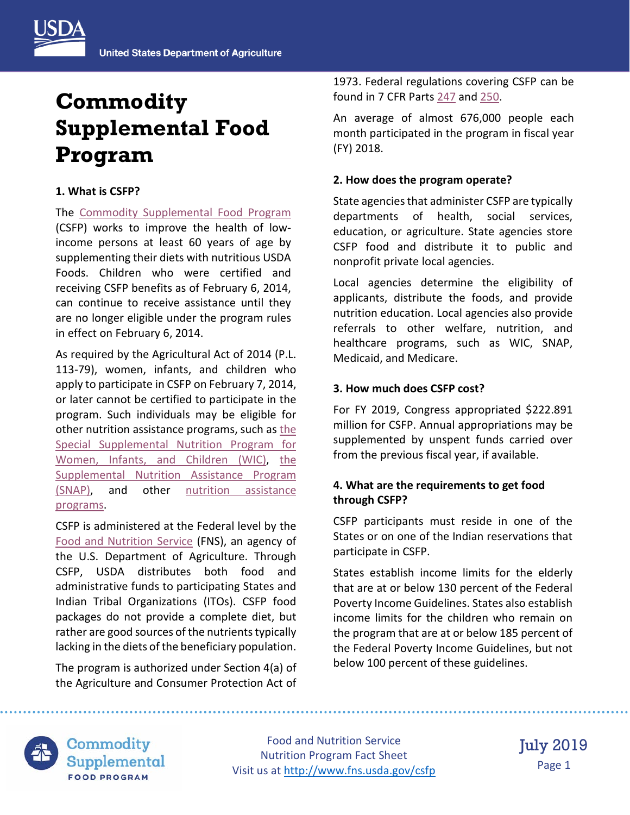

# **Commodity Supplemental Food Program**

#### **1. What is CSFP?**

The [Commodity Supplemental Food Program](https://www.fns.usda.gov/csfp/commodity-supplemental-food-program) (CSFP) works to improve the health of lowincome persons at least 60 years of age by supplementing their diets with nutritious USDA Foods. Children who were certified and receiving CSFP benefits as of February 6, 2014, can continue to receive assistance until they are no longer eligible under the program rules in effect on February 6, 2014.

As required by the Agricultural Act of 2014 (P.L. 113-79), women, infants, and children who apply to participate in CSFP on February 7, 2014, or later cannot be certified to participate in the program. Such individuals may be eligible for other nutrition assistance programs, such as the [Special Supplemental Nutrition Program for](https://www.fns.usda.gov/wic/women-infants-and-children)  [Women, Infants, and Children \(WIC\),](https://www.fns.usda.gov/wic/women-infants-and-children) [the](https://www.fns.usda.gov/snap/supplemental-nutrition-assistance-program)  [Supplemental Nutrition Assistance Program](https://www.fns.usda.gov/snap/supplemental-nutrition-assistance-program)  [\(SNAP\),](https://www.fns.usda.gov/snap/supplemental-nutrition-assistance-program) and other [nutrition assistance](https://www.fns.usda.gov/programs)  [programs.](https://www.fns.usda.gov/programs)

CSFP is administered at the Federal level by the [Food and Nutrition Service](http://www.fns.usda.gov/) (FNS), an agency of the U.S. Department of Agriculture. Through CSFP, USDA distributes both food and administrative funds to participating States and Indian Tribal Organizations (ITOs). CSFP food packages do not provide a complete diet, but rather are good sources of the nutrients typically lacking in the diets of the beneficiary population.

The program is authorized under Section 4(a) of the Agriculture and Consumer Protection Act of

1973. Federal regulations covering CSFP can be found in 7 CFR Parts [247](http://www.ecfr.gov/cgi-bin/text-idx?tpl=/ecfrbrowse/Title07/7cfr247_main_02.tpl) and [250.](http://www.ecfr.gov/cgi-bin/text-idx?idno=7;region=DIV1;type=boolean;c=ecfr;cc=ecfr;sid=8cb9f85c1896127ca36b98a71cd7536b;q1=250.30;rgn1=Section;op2=and;rgn2=Section;op3=and;rgn3=Section;rgn=div5;view=text;node=7%3A4.1.1.2.14)

An average of almost 676,000 people each month participated in the program in fiscal year (FY) 2018.

## **2. How does the program operate?**

State agencies that administer CSFP are typically departments of health, social services, education, or agriculture. State agencies store CSFP food and distribute it to public and nonprofit private local agencies.

Local agencies determine the eligibility of applicants, distribute the foods, and provide nutrition education. Local agencies also provide referrals to other welfare, nutrition, and healthcare programs, such as WIC, SNAP, Medicaid, and Medicare.

## **3. How much does CSFP cost?**

For FY 2019, Congress appropriated \$222.891 million for CSFP. Annual appropriations may be supplemented by unspent funds carried over from the previous fiscal year, if available.

## **4. What are the requirements to get food through CSFP?**

CSFP participants must reside in one of the States or on one of the Indian reservations that participate in CSFP.

States establish income limits for the elderly that are at or below 130 percent of the Federal Poverty Income Guidelines. States also establish income limits for the children who remain on the program that are at or below 185 percent of the Federal Poverty Income Guidelines, but not below 100 percent of these guidelines.



Commodity Supplemental **FOOD PROGRAM** 

Food and Nutrition Service Nutrition Program Fact Sheet Visit us at<http://www.fns.usda.gov/csfp>

July 2019 Page 1